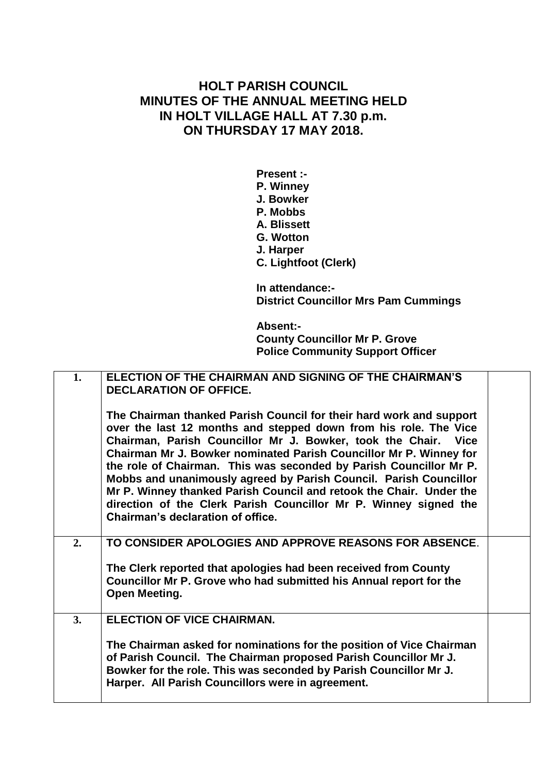## **HOLT PARISH COUNCIL MINUTES OF THE ANNUAL MEETING HELD IN HOLT VILLAGE HALL AT 7.30 p.m. ON THURSDAY 17 MAY 2018.**

**Present :- P. Winney J. Bowker P. Mobbs A. Blissett G. Wotton J. Harper C. Lightfoot (Clerk)**

**In attendance:- District Councillor Mrs Pam Cummings**

**Absent:- County Councillor Mr P. Grove Police Community Support Officer**

| 1. | ELECTION OF THE CHAIRMAN AND SIGNING OF THE CHAIRMAN'S<br><b>DECLARATION OF OFFICE.</b><br>The Chairman thanked Parish Council for their hard work and support<br>over the last 12 months and stepped down from his role. The Vice<br>Chairman, Parish Councillor Mr J. Bowker, took the Chair. Vice<br>Chairman Mr J. Bowker nominated Parish Councillor Mr P. Winney for<br>the role of Chairman. This was seconded by Parish Councillor Mr P.<br>Mobbs and unanimously agreed by Parish Council. Parish Councillor<br>Mr P. Winney thanked Parish Council and retook the Chair. Under the<br>direction of the Clerk Parish Councillor Mr P. Winney signed the<br>Chairman's declaration of office. |  |
|----|-------------------------------------------------------------------------------------------------------------------------------------------------------------------------------------------------------------------------------------------------------------------------------------------------------------------------------------------------------------------------------------------------------------------------------------------------------------------------------------------------------------------------------------------------------------------------------------------------------------------------------------------------------------------------------------------------------|--|
| 2. | TO CONSIDER APOLOGIES AND APPROVE REASONS FOR ABSENCE.<br>The Clerk reported that apologies had been received from County<br>Councillor Mr P. Grove who had submitted his Annual report for the<br>Open Meeting.                                                                                                                                                                                                                                                                                                                                                                                                                                                                                      |  |
| 3. | <b>ELECTION OF VICE CHAIRMAN.</b><br>The Chairman asked for nominations for the position of Vice Chairman<br>of Parish Council. The Chairman proposed Parish Councillor Mr J.<br>Bowker for the role. This was seconded by Parish Councillor Mr J.<br>Harper. All Parish Councillors were in agreement.                                                                                                                                                                                                                                                                                                                                                                                               |  |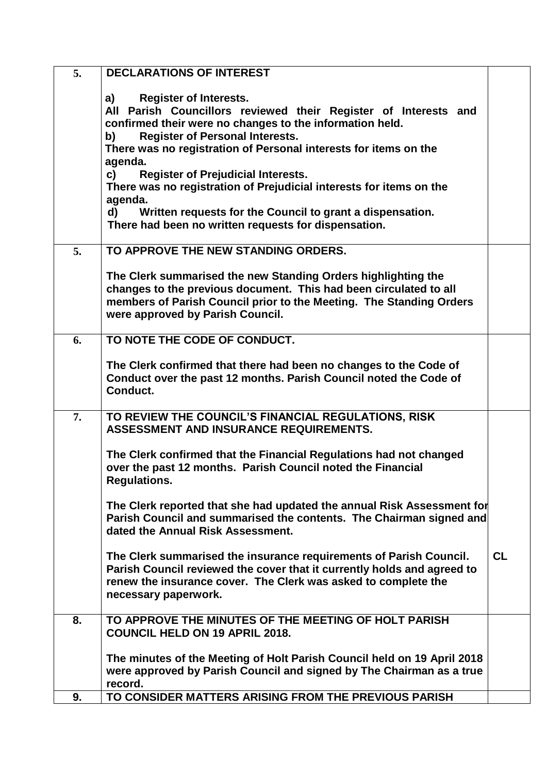| 5. | <b>DECLARATIONS OF INTEREST</b>                                         |           |
|----|-------------------------------------------------------------------------|-----------|
|    |                                                                         |           |
|    | <b>Register of Interests.</b><br>a)                                     |           |
|    | All Parish Councillors reviewed their Register of Interests and         |           |
|    | confirmed their were no changes to the information held.                |           |
|    | <b>Register of Personal Interests.</b><br>b)                            |           |
|    | There was no registration of Personal interests for items on the        |           |
|    | agenda.                                                                 |           |
|    | c)<br><b>Register of Prejudicial Interests.</b>                         |           |
|    | There was no registration of Prejudicial interests for items on the     |           |
|    | agenda.                                                                 |           |
|    | Written requests for the Council to grant a dispensation.<br>d)         |           |
|    | There had been no written requests for dispensation.                    |           |
| 5. | TO APPROVE THE NEW STANDING ORDERS.                                     |           |
|    |                                                                         |           |
|    | The Clerk summarised the new Standing Orders highlighting the           |           |
|    | changes to the previous document. This had been circulated to all       |           |
|    | members of Parish Council prior to the Meeting. The Standing Orders     |           |
|    | were approved by Parish Council.                                        |           |
|    |                                                                         |           |
| 6. | TO NOTE THE CODE OF CONDUCT.                                            |           |
|    |                                                                         |           |
|    | The Clerk confirmed that there had been no changes to the Code of       |           |
|    | Conduct over the past 12 months. Parish Council noted the Code of       |           |
|    | Conduct.                                                                |           |
|    |                                                                         |           |
| 7. | TO REVIEW THE COUNCIL'S FINANCIAL REGULATIONS, RISK                     |           |
|    | ASSESSMENT AND INSURANCE REQUIREMENTS.                                  |           |
|    |                                                                         |           |
|    | The Clerk confirmed that the Financial Regulations had not changed      |           |
|    | over the past 12 months. Parish Council noted the Financial             |           |
|    | <b>Regulations.</b>                                                     |           |
|    | The Clerk reported that she had updated the annual Risk Assessment for  |           |
|    | Parish Council and summarised the contents. The Chairman signed and     |           |
|    | dated the Annual Risk Assessment.                                       |           |
|    |                                                                         |           |
|    | The Clerk summarised the insurance requirements of Parish Council.      | <b>CL</b> |
|    | Parish Council reviewed the cover that it currently holds and agreed to |           |
|    | renew the insurance cover. The Clerk was asked to complete the          |           |
|    | necessary paperwork.                                                    |           |
|    |                                                                         |           |
| 8. | TO APPROVE THE MINUTES OF THE MEETING OF HOLT PARISH                    |           |
|    | <b>COUNCIL HELD ON 19 APRIL 2018.</b>                                   |           |
|    |                                                                         |           |
|    | The minutes of the Meeting of Holt Parish Council held on 19 April 2018 |           |
|    | were approved by Parish Council and signed by The Chairman as a true    |           |
|    | record.                                                                 |           |
| 9. | TO CONSIDER MATTERS ARISING FROM THE PREVIOUS PARISH                    |           |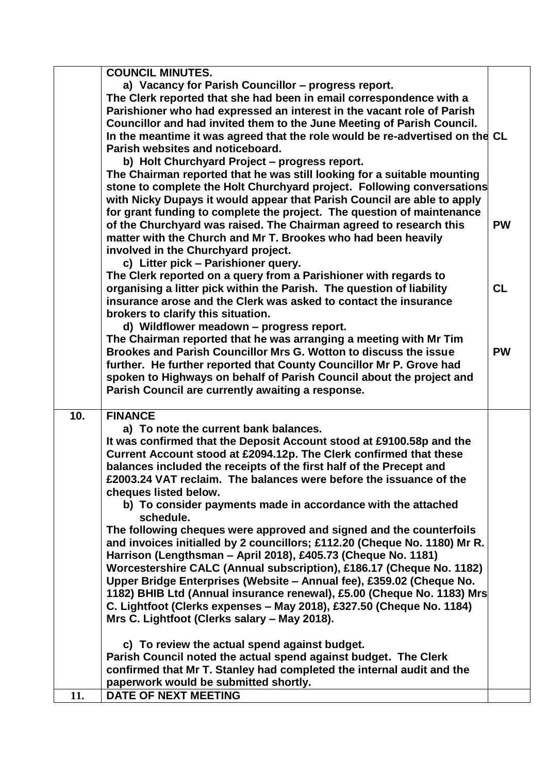| <b>COUNCIL MINUTES.</b>                                                      |           |
|------------------------------------------------------------------------------|-----------|
| a) Vacancy for Parish Councillor - progress report.                          |           |
| The Clerk reported that she had been in email correspondence with a          |           |
| Parishioner who had expressed an interest in the vacant role of Parish       |           |
| Councillor and had invited them to the June Meeting of Parish Council.       |           |
| In the meantime it was agreed that the role would be re-advertised on the CL |           |
| Parish websites and noticeboard.                                             |           |
| b) Holt Churchyard Project - progress report.                                |           |
| The Chairman reported that he was still looking for a suitable mounting      |           |
| stone to complete the Holt Churchyard project. Following conversations       |           |
| with Nicky Dupays it would appear that Parish Council are able to apply      |           |
| for grant funding to complete the project. The question of maintenance       |           |
| of the Churchyard was raised. The Chairman agreed to research this           | <b>PW</b> |
| matter with the Church and Mr T. Brookes who had been heavily                |           |
| involved in the Churchyard project.                                          |           |
| c) Litter pick - Parishioner query.                                          |           |
| The Clerk reported on a query from a Parishioner with regards to             |           |
| organising a litter pick within the Parish. The question of liability        | <b>CL</b> |
| insurance arose and the Clerk was asked to contact the insurance             |           |
| brokers to clarify this situation.                                           |           |
| d) Wildflower meadown - progress report.                                     |           |
| The Chairman reported that he was arranging a meeting with Mr Tim            |           |
| Brookes and Parish Councillor Mrs G. Wotton to discuss the issue             | <b>PW</b> |
| further. He further reported that County Councillor Mr P. Grove had          |           |
| spoken to Highways on behalf of Parish Council about the project and         |           |
| Parish Council are currently awaiting a response.                            |           |
|                                                                              |           |
| 10.<br><b>FINANCE</b>                                                        |           |
| a) To note the current bank balances.                                        |           |
| It was confirmed that the Deposit Account stood at £9100.58p and the         |           |
| Current Account stood at £2094.12p. The Clerk confirmed that these           |           |
| balances included the receipts of the first half of the Precept and          |           |
| £2003.24 VAT reclaim. The balances were before the issuance of the           |           |
| cheques listed below.                                                        |           |
| b) To consider payments made in accordance with the attached                 |           |
| schedule.                                                                    |           |
| The following cheques were approved and signed and the counterfoils          |           |
| and invoices initialled by 2 councillors; £112.20 (Cheque No. 1180) Mr R.    |           |
| Harrison (Lengthsman - April 2018), £405.73 (Cheque No. 1181)                |           |
| Worcestershire CALC (Annual subscription), £186.17 (Cheque No. 1182)         |           |
| Upper Bridge Enterprises (Website - Annual fee), £359.02 (Cheque No.         |           |
| 1182) BHIB Ltd (Annual insurance renewal), £5.00 (Cheque No. 1183) Mrs       |           |
| C. Lightfoot (Clerks expenses - May 2018), £327.50 (Cheque No. 1184)         |           |
| Mrs C. Lightfoot (Clerks salary - May 2018).                                 |           |
| c) To review the actual spend against budget.                                |           |
| Parish Council noted the actual spend against budget. The Clerk              |           |
| confirmed that Mr T. Stanley had completed the internal audit and the        |           |
| paperwork would be submitted shortly.                                        |           |
| <b>DATE OF NEXT MEETING</b><br>11.                                           |           |